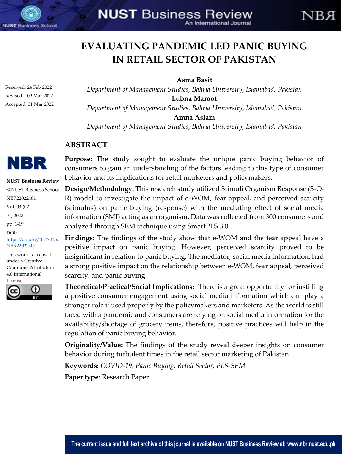

# **EVALUATING PANDEMIC LED PANIC BUYING IN RETAIL SECTOR OF PAKISTAN**

NR A

**Asma Basit**

Received: 24 Feb 2022 Revised: 09 Mar 2022 Accepted: 31 Mar 2022

*"Department of Management Studies, Bahria University, Islamabad, Pakistan"* **Lubna Maroof** *"Department of Management Studies, Bahria University, Islamabad, Pakistan"* **Amna Aslam** *"Department of Management Studies, Bahria University, Islamabad, Pakistan"*

## **ABSTRACT**



**NUST Business Review** © NUST Business School NBR22022401 Vol. 03 (02) 01, 2022 pp. 1-19 DOI: [https://doi.org/10.37435/](https://doi.org/10.37435/NBR22022401) [NBR22022401](https://doi.org/10.37435/NBR22022401)

This work is licensed under a Creative Commons Attribution 4.0 International



**Purpose:** The study sought to evaluate the unique panic buying behavior of consumers to gain an understanding of the factors leading to this type of consumer behavior and its implications for retail marketers and policymakers.

**Design/Methodology**: This research study utilized Stimuli Organism Response (S-O-R) model to investigate the impact of e-WOM, fear appeal, and perceived scarcity (stimulus) on panic buying (response) with the mediating effect of social media information (SMI) acting as an organism. Data was collected from 300 consumers and analyzed through SEM technique using SmartPLS 3.0.

**Findings**: The findings of the study show that e-WOM and the fear appeal have a positive impact on panic buying. However, perceived scarcity proved to be insignificant in relation to panic buying. The mediator, social media information, had a strong positive impact on the relationship between e-WOM, fear appeal, perceived scarcity, and panic buying.

**Theoretical/Practical/Social Implications:** There is a great opportunity for instilling a positive consumer engagement using social media information which can play a stronger role if used properly by the policymakers and marketers. As the world is still faced with a pandemic and consumers are relying on social media information for the availability/shortage of grocery items, therefore, positive practices will help in the regulation of panic buying behavior.

**Originality/Value:** The findings of the study reveal deeper insights on consumer behavior during turbulent times in the retail sector marketing of Pakistan.

**Keywords:** *COVID-19, Panic Buying, Retail Sector, PLS-SEM*

**Paper type**: Research Paper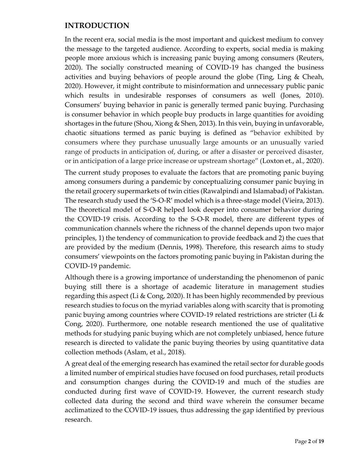## **INTRODUCTION**

In the recent era, social media is the most important and quickest medium to convey the message to the targeted audience. According to experts, social media is making people more anxious which is increasing panic buying among consumers (Reuters, 2020). The socially constructed meaning of COVID-19 has changed the business activities and buying behaviors of people around the globe (Ting, Ling & Cheah, 2020). However, it might contribute to misinformation and unnecessary public panic which results in undesirable responses of consumers as well (Jones, 2010). Consumers' buying behavior in panic is generally termed panic buying. Purchasing is consumer behavior in which people buy products in large quantities for avoiding shortages in the future (Shou, Xiong & Shen, 2013). In this vein, buying in unfavorable, chaotic situations termed as panic buying is defined as "behavior exhibited by consumers where they purchase unusually large amounts or an unusually varied range of products in anticipation of, during, or after a disaster or perceived disaster, or in anticipation of a large price increase or upstream shortage" (Loxton et., al., 2020).

The current study proposes to evaluate the factors that are promoting panic buying among consumers during a pandemic by conceptualizing consumer panic buying in the retail grocery supermarkets of twin cities (Rawalpindi and Islamabad) of Pakistan. The research study used the 'S-O-R' model which is a three-stage model (Vieira, 2013). The theoretical model of S-O-R helped look deeper into consumer behavior during the COVID-19 crisis. According to the S-O-R model, there are different types of communication channels where the richness of the channel depends upon two major principles, 1) the tendency of communication to provide feedback and 2) the cues that are provided by the medium (Dennis, 1998). Therefore, this research aims to study consumers' viewpoints on the factors promoting panic buying in Pakistan during the COVID-19 pandemic.

Although there is a growing importance of understanding the phenomenon of panic buying still there is a shortage of academic literature in management studies regarding this aspect (Li & Cong, 2020). It has been highly recommended by previous research studies to focus on the myriad variables along with scarcity that is promoting panic buying among countries where COVID-19 related restrictions are stricter (Li & Cong, 2020). Furthermore, one notable research mentioned the use of qualitative methods for studying panic buying which are not completely unbiased, hence future research is directed to validate the panic buying theories by using quantitative data collection methods (Aslam, et al., 2018).

A great deal of the emerging research has examined the retail sector for durable goods a limited number of empirical studies have focused on food purchases, retail products and consumption changes during the COVID-19 and much of the studies are conducted during first wave of COVID-19. However, the current research study collected data during the second and third wave wherein the consumer became acclimatized to the COVID-19 issues, thus addressing the gap identified by previous research.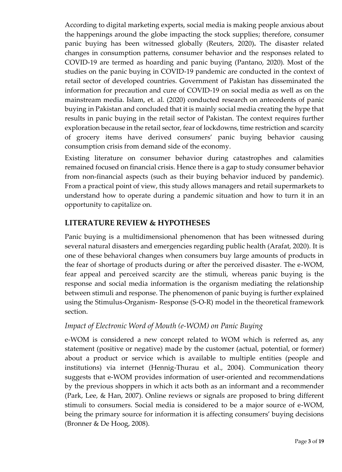According to digital marketing experts, social media is making people anxious about the happenings around the globe impacting the stock supplies; therefore, consumer panic buying has been witnessed globally (Reuters, 2020)**.** The disaster related changes in consumption patterns, consumer behavior and the responses related to COVID-19 are termed as hoarding and panic buying (Pantano, 2020). Most of the studies on the panic buying in COVID-19 pandemic are conducted in the context of retail sector of developed countries. Government of Pakistan has disseminated the information for precaution and cure of COVID-19 on social media as well as on the mainstream media. Islam, et. al. (2020) conducted research on antecedents of panic buying in Pakistan and concluded that it is mainly social media creating the hype that results in panic buying in the retail sector of Pakistan. The context requires further exploration because in the retail sector, fear of lockdowns, time restriction and scarcity of grocery items have derived consumers' panic buying behavior causing consumption crisis from demand side of the economy.

Existing literature on consumer behavior during catastrophes and calamities remained focused on financial crisis. Hence there is a gap to study consumer behavior from non-financial aspects (such as their buying behavior induced by pandemic). From a practical point of view, this study allows managers and retail supermarkets to understand how to operate during a pandemic situation and how to turn it in an opportunity to capitalize on.

## **LITERATURE REVIEW & HYPOTHESES**

Panic buying is a multidimensional phenomenon that has been witnessed during several natural disasters and emergencies regarding public health (Arafat, 2020). It is one of these behavioral changes when consumers buy large amounts of products in the fear of shortage of products during or after the perceived disaster. The e-WOM, fear appeal and perceived scarcity are the stimuli, whereas panic buying is the response and social media information is the organism mediating the relationship between stimuli and response. The phenomenon of panic buying is further explained using the Stimulus-Organism- Response (S-O-R) model in the theoretical framework section.

#### *Impact of Electronic Word of Mouth (e-WOM) on Panic Buying*

e-WOM is considered a new concept related to WOM which is referred as, any statement (positive or negative) made by the customer (actual, potential, or former) about a product or service which is available to multiple entities (people and institutions) via internet (Hennig-Thurau et al., 2004). Communication theory suggests that e-WOM provides information of user-oriented and recommendations by the previous shoppers in which it acts both as an informant and a recommender (Park, Lee, & Han, 2007). Online reviews or signals are proposed to bring different stimuli to consumers. Social media is considered to be a major source of e-WOM, being the primary source for information it is affecting consumers' buying decisions (Bronner & De Hoog, 2008).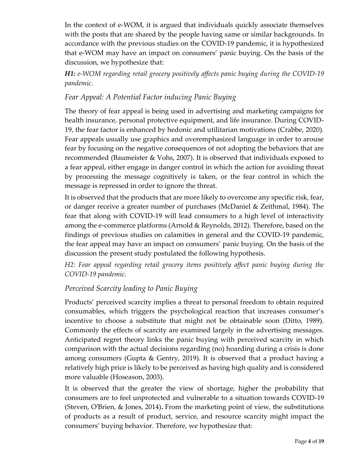In the context of e-WOM, it is argued that individuals quickly associate themselves with the posts that are shared by the people having same or similar backgrounds. In accordance with the previous studies on the COVID-19 pandemic, it is hypothesized that e-WOM may have an impact on consumers' panic buying. On the basis of the discussion, we hypothesize that:

*H1: e-WOM regarding retail grocery positively affects panic buying during the COVID-19 pandemic.*

## *Fear Appeal: A Potential Factor inducing Panic Buying*

The theory of fear appeal is being used in advertising and marketing campaigns for health insurance, personal protective equipment, and life insurance. During COVID-19, the fear factor is enhanced by hedonic and utilitarian motivations (Crabbe, 2020). Fear appeals usually use graphics and overemphasized language in order to arouse fear by focusing on the negative consequences of not adopting the behaviors that are recommended (Baumeister & Vohs, 2007). It is observed that individuals exposed to a fear appeal, either engage in danger control in which the action for avoiding threat by processing the message cognitively is taken, or the fear control in which the message is repressed in order to ignore the threat.

It is observed that the products that are more likely to overcome any specific risk, fear, or danger receive a greater number of purchases (McDaniel & Zeithmal, 1984). The fear that along with COVID-19 will lead consumers to a high level of interactivity among the e-commerce platforms (Arnold & Reynolds, 2012). Therefore, based on the findings of previous studies on calamities in general and the COVID-19 pandemic, the fear appeal may have an impact on consumers' panic buying. On the basis of the discussion the present study postulated the following hypothesis.

*H2: Fear appeal regarding retail grocery items positively affect panic buying during the COVID-19 pandemic.*

# *Perceived Scarcity leading to Panic Buying*

Products' perceived scarcity implies a threat to personal freedom to obtain required consumables, which triggers the psychological reaction that increases consumer's incentive to choose a substitute that might not be obtainable soon (Ditto, 1989). Commonly the effects of scarcity are examined largely in the advertising messages. Anticipated regret theory links the panic buying with perceived scarcity in which comparison with the actual decisions regarding (no) hoarding during a crisis is done among consumers (Gupta & Gentry, 2019). It is observed that a product having a relatively high price is likely to be perceived as having high quality and is considered more valuable (Hoseason, 2003).

It is observed that the greater the view of shortage, higher the probability that consumers are to feel unprotected and vulnerable to a situation towards COVID-19 (Steven, O'Brien, & Jones, 2014)**.** From the marketing point of view, the substitutions of products as a result of product, service, and resource scarcity might impact the consumers' buying behavior. Therefore, we hypothesize that: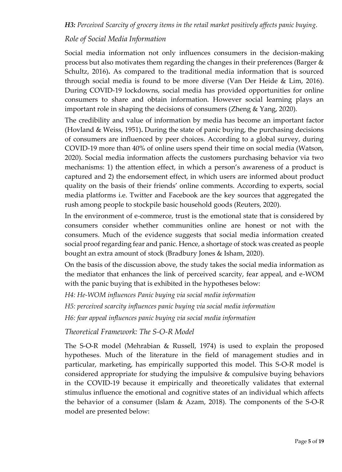### *Role of Social Media Information*

Social media information not only influences consumers in the decision-making process but also motivates them regarding the changes in their preferences (Barger  $\&$ Schultz, 2016)**.** As compared to the traditional media information that is sourced through social media is found to be more diverse (Van Der Heide & Lim, 2016). During COVID-19 lockdowns, social media has provided opportunities for online consumers to share and obtain information. However social learning plays an important role in shaping the decisions of consumers (Zheng & Yang, 2020).

The credibility and value of information by media has become an important factor (Hovland & Weiss, 1951)**.** During the state of panic buying, the purchasing decisions of consumers are influenced by peer choices. According to a global survey, during COVID-19 more than 40% of online users spend their time on social media (Watson, 2020). Social media information affects the customers purchasing behavior via two mechanisms: 1) the attention effect, in which a person's awareness of a product is captured and 2) the endorsement effect, in which users are informed about product quality on the basis of their friends' online comments. According to experts, social media platforms i.e. Twitter and Facebook are the key sources that aggregated the rush among people to stockpile basic household goods (Reuters, 2020).

In the environment of e-commerce, trust is the emotional state that is considered by consumers consider whether communities online are honest or not with the consumers. Much of the evidence suggests that social media information created social proof regarding fear and panic. Hence, a shortage of stock was created as people bought an extra amount of stock (Bradbury Jones & Isham, 2020).

On the basis of the discussion above, the study takes the social media information as the mediator that enhances the link of perceived scarcity, fear appeal, and e-WOM with the panic buying that is exhibited in the hypotheses below:

*H4: He-WOM influences Panic buying via social media information*

*H5: perceived scarcity influences panic buying via social media information*

*H6: fear appeal influences panic buying via social media information*

*Theoretical Framework: The S-O-R Model* 

The S-O-R model (Mehrabian & Russell, 1974) is used to explain the proposed hypotheses. Much of the literature in the field of management studies and in particular, marketing, has empirically supported this model. This S-O-R model is considered appropriate for studying the impulsive & compulsive buying behaviors in the COVID-19 because it empirically and theoretically validates that external stimulus influence the emotional and cognitive states of an individual which affects the behavior of a consumer (Islam & Azam, 2018). The components of the S-O-R model are presented below: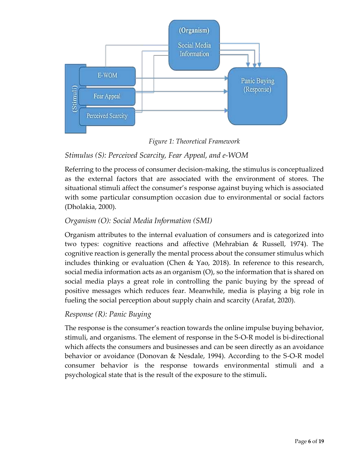

*Figure 1: Theoretical Framework*

# *Stimulus (S): Perceived Scarcity, Fear Appeal, and e-WOM*

Referring to the process of consumer decision-making, the stimulus is conceptualized as the external factors that are associated with the environment of stores. The situational stimuli affect the consumer's response against buying which is associated with some particular consumption occasion due to environmental or social factors (Dholakia, 2000).

# *Organism (O): Social Media Information (SMI)*

Organism attributes to the internal evaluation of consumers and is categorized into two types: cognitive reactions and affective (Mehrabian & Russell, 1974). The cognitive reaction is generally the mental process about the consumer stimulus which includes thinking or evaluation (Chen & Yao, 2018). In reference to this research, social media information acts as an organism (O), so the information that is shared on social media plays a great role in controlling the panic buying by the spread of positive messages which reduces fear. Meanwhile, media is playing a big role in fueling the social perception about supply chain and scarcity (Arafat, 2020).

# *Response (R): Panic Buying*

The response is the consumer's reaction towards the online impulse buying behavior, stimuli, and organisms. The element of response in the S-O-R model is bi-directional which affects the consumers and businesses and can be seen directly as an avoidance behavior or avoidance (Donovan & Nesdale, 1994). According to the S-O-R model consumer behavior is the response towards environmental stimuli and a psychological state that is the result of the exposure to the stimuli**.**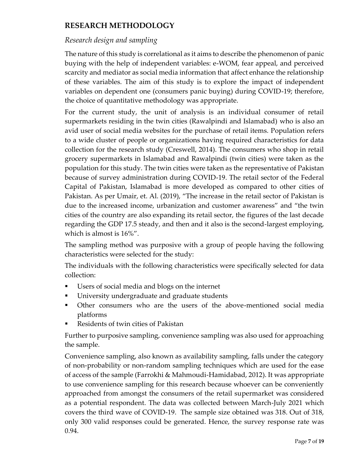# **RESEARCH METHODOLOGY**

## *Research design and sampling*

The nature of this study is correlational as it aims to describe the phenomenon of panic buying with the help of independent variables: e-WOM, fear appeal, and perceived scarcity and mediator as social media information that affect enhance the relationship of these variables. The aim of this study is to explore the impact of independent variables on dependent one (consumers panic buying) during COVID-19; therefore, the choice of quantitative methodology was appropriate.

For the current study, the unit of analysis is an individual consumer of retail supermarkets residing in the twin cities (Rawalpindi and Islamabad) who is also an avid user of social media websites for the purchase of retail items. Population refers to a wide cluster of people or organizations having required characteristics for data collection for the research study (Creswell, 2014). The consumers who shop in retail grocery supermarkets in Islamabad and Rawalpindi (twin cities) were taken as the population for this study. The twin cities were taken as the representative of Pakistan because of survey administration during COVID-19. The retail sector of the Federal Capital of Pakistan, Islamabad is more developed as compared to other cities of Pakistan. As per Umair, et. Al. (2019), "The increase in the retail sector of Pakistan is due to the increased income, urbanization and customer awareness" and "the twin cities of the country are also expanding its retail sector, the figures of the last decade regarding the GDP 17.5 steady, and then and it also is the second-largest employing, which is almost is 16%".

The sampling method was purposive with a group of people having the following characteristics were selected for the study:

The individuals with the following characteristics were specifically selected for data collection:

- Users of social media and blogs on the internet
- University undergraduate and graduate students
- Other consumers who are the users of the above-mentioned social media platforms
- Residents of twin cities of Pakistan

Further to purposive sampling, convenience sampling was also used for approaching the sample.

Convenience sampling, also known as availability sampling, falls under the category of non-probability or non-random sampling techniques which are used for the ease of access of the sample (Farrokhi & Mahmoudi-Hamidabad, 2012). It was appropriate to use convenience sampling for this research because whoever can be conveniently approached from amongst the consumers of the retail supermarket was considered as a potential respondent. The data was collected between March-July 2021 which covers the third wave of COVID-19. The sample size obtained was 318. Out of 318, only 300 valid responses could be generated. Hence, the survey response rate was 0.94.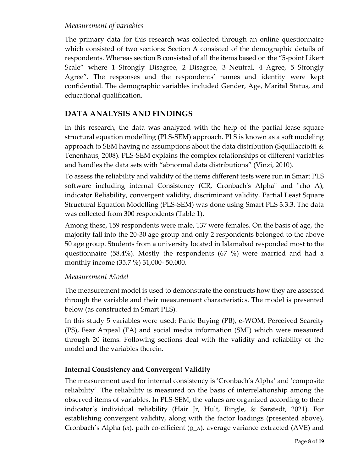#### *Measurement of variables*

The primary data for this research was collected through an online questionnaire which consisted of two sections: Section A consisted of the demographic details of respondents. Whereas section B consisted of all the items based on the "5-point Likert Scale" where 1=Strongly Disagree, 2=Disagree, 3=Neutral, 4=Agree, 5=Strongly Agree". The responses and the respondents' names and identity were kept confidential. The demographic variables included Gender, Age, Marital Status, and educational qualification.

### **DATA ANALYSIS AND FINDINGS**

In this research, the data was analyzed with the help of the partial lease square structural equation modelling (PLS-SEM) approach. PLS is known as a soft modeling approach to SEM having no assumptions about the data distribution (Squillacciotti  $\&$ Tenenhaus, 2008). PLS-SEM explains the complex relationships of different variables and handles the data sets with "abnormal data distributions" (Vinzi, 2010).

To assess the reliability and validity of the items different tests were run in Smart PLS software including internal Consistency (CR, Cronbach's Alpha" and "rho A), indicator Reliability, convergent validity, discriminant validity. Partial Least Square Structural Equation Modelling (PLS-SEM) was done using Smart PLS 3.3.3. The data was collected from 300 respondents (Table 1).

Among these, 159 respondents were male, 137 were females. On the basis of age, the majority fall into the 20-30 age group and only 2 respondents belonged to the above 50 age group. Students from a university located in Islamabad responded most to the questionnaire (58.4%). Mostly the respondents (67 %) were married and had a monthly income (35.7 %) 31,000- 50,000.

#### *Measurement Model*

The measurement model is used to demonstrate the constructs how they are assessed through the variable and their measurement characteristics. The model is presented below (as constructed in Smart PLS).

In this study 5 variables were used: Panic Buying (PB), e-WOM, Perceived Scarcity (PS), Fear Appeal (FA) and social media information (SMI) which were measured through 20 items. Following sections deal with the validity and reliability of the model and the variables therein.

#### **Internal Consistency and Convergent Validity**

The measurement used for internal consistency is 'Cronbach's Alpha' and 'composite reliability'. The reliability is measured on the basis of interrelationship among the observed items of variables. In PLS-SEM, the values are organized according to their indicator's individual reliability (Hair Jr, Hult, Ringle, & Sarstedt, 2021). For establishing convergent validity, along with the factor loadings (presented above), Cronbach's Alpha ( $\alpha$ ), path co-efficient ( $\rho_A$ ), average variance extracted (AVE) and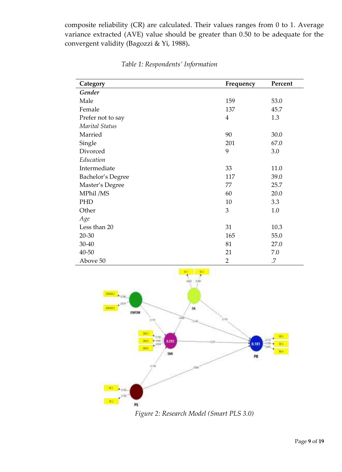composite reliability (CR) are calculated. Their values ranges from 0 to 1. Average variance extracted (AVE) value should be greater than 0.50 to be adequate for the convergent validity (Bagozzi & Yi, 1988)**.** 

| Category          | Frequency      | Percent |  |
|-------------------|----------------|---------|--|
| Gender            |                |         |  |
| Male              | 159            | 53.0    |  |
| Female            | 137            | 45.7    |  |
| Prefer not to say | $\overline{4}$ | 1.3     |  |
| Marital Status    |                |         |  |
| Married           | 90             | 30.0    |  |
| Single            | 201            | 67.0    |  |
| Divorced          | 9              | 3.0     |  |
| Education         |                |         |  |
| Intermediate      | 33             | 11.0    |  |
| Bachelor's Degree | 117            | 39.0    |  |
| Master's Degree   | 77             | 25.7    |  |
| MPhil /MS         | 60             | 20.0    |  |
| PHD               | 10             | 3.3     |  |
| Other             | 3              | 1.0     |  |
| Age               |                |         |  |
| Less than 20      | 31             | 10.3    |  |
| $20 - 30$         | 165            | 55.0    |  |
| 30-40             | 81             | 27.0    |  |
| 40-50             | 21             | 7.0     |  |
| Above 50          | $\overline{2}$ | .7      |  |

*Table 1: Respondents' Information*



*Figure 2: Research Model (Smart PLS 3.0)*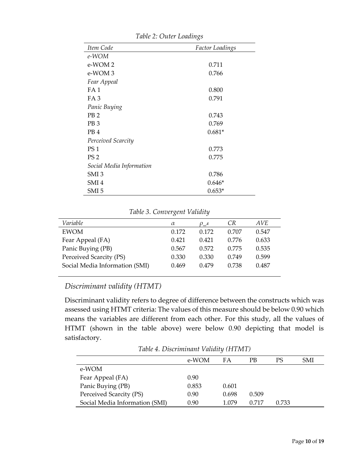| Item Code                | <b>Factor Loadings</b> |
|--------------------------|------------------------|
| e-WOM                    |                        |
| e-WOM <sub>2</sub>       | 0.711                  |
| e-WOM 3                  | 0.766                  |
| Fear Appeal              |                        |
| FA 1                     | 0.800                  |
| FA <sub>3</sub>          | 0.791                  |
| Panic Buying             |                        |
| PB <sub>2</sub>          | 0.743                  |
| PB <sub>3</sub>          | 0.769                  |
| PB <sub>4</sub>          | $0.681*$               |
| Perceived Scarcity       |                        |
| PS <sub>1</sub>          | 0.773                  |
| PS <sub>2</sub>          | 0.775                  |
| Social Media Information |                        |
| SMI <sub>3</sub>         | 0.786                  |
| SMI4                     | $0.646*$               |
| SMI 5                    | $0.653*$               |

*Table 2: Outer Loadings*

| Variable                       | α     | $\rho_A$ | СR    | AVE   |
|--------------------------------|-------|----------|-------|-------|
| <b>EWOM</b>                    | 0.172 | 0.172    | 0.707 | 0.547 |
| Fear Appeal (FA)               | 0.421 | 0.421    | 0.776 | 0.633 |
| Panic Buying (PB)              | 0.567 | 0.572    | 0.775 | 0.535 |
| Perceived Scarcity (PS)        | 0.330 | 0.330    | 0.749 | 0.599 |
| Social Media Information (SMI) | 0.469 | 0.479    | 0.738 | 0.487 |
|                                |       |          |       |       |

# *Discriminant validity (HTMT)*

Discriminant validity refers to degree of difference between the constructs which was assessed using HTMT criteria: The values of this measure should be below 0.90 which means the variables are different from each other. For this study, all the values of HTMT (shown in the table above) were below 0.90 depicting that model is satisfactory.

*Table 4. Discriminant Validity (HTMT)*

|                                | e-WOM | FA    | РB    | PS    | SMI |
|--------------------------------|-------|-------|-------|-------|-----|
| e-WOM                          |       |       |       |       |     |
| Fear Appeal (FA)               | 0.90  |       |       |       |     |
| Panic Buying (PB)              | 0.853 | 0.601 |       |       |     |
| Perceived Scarcity (PS)        | 0.90  | 0.698 | 0.509 |       |     |
| Social Media Information (SMI) | 0.90  | 1.079 | 0.717 | 0.733 |     |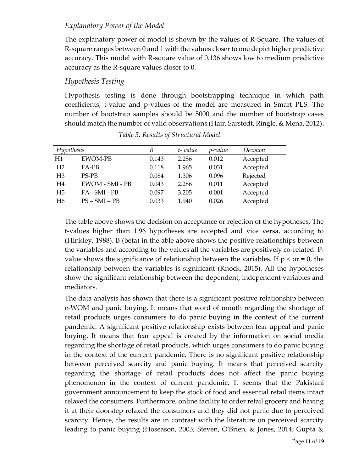#### *Explanatory Power of the Model*

The explanatory power of model is shown by the values of R-Square. The values of R-square ranges between 0 and 1 with the values closer to one depict higher predictive accuracy. This model with R-square value of 0.136 shows low to medium predictive accuracy as the R-square values closer to 0.

#### *Hypothesis Testing*

Hypothesis testing is done through bootstrapping technique in which path coefficients, t-value and p-values of the model are measured in Smart PLS. The number of bootstrap samples should be 5000 and the number of bootstrap cases should match the number of valid observations (Hair, Sarstedt, Ringle, & Mena, 2012)**.**

| Hypothesis     |                 | В     | t-value | p-value | Decision |
|----------------|-----------------|-------|---------|---------|----------|
| H1             | <b>EWOM-PB</b>  | 0.143 | 2.256   | 0.012   | Accepted |
| H <sub>2</sub> | $FA-PB$         | 0.118 | 1.965   | 0.031   | Accepted |
| H <sub>3</sub> | <b>PS-PB</b>    | 0.084 | 1.306   | 0.096   | Rejected |
| H <sub>4</sub> | EWOM - SMI - PB | 0.043 | 2.286   | 0.011   | Accepted |
| H <sub>5</sub> | FA-SMI-PB       | 0.097 | 3.205   | 0.001   | Accepted |
| H6             | $PS - SMI - PB$ | 0.033 | 1.940   | 0.026   | Accepted |

*Table 5. Results of Structural Model*

The table above shows the decision on acceptance or rejection of the hypotheses. The t-values higher than 1.96 hypotheses are accepted and vice versa, according to (Hinkley, 1988). B (beta) in the able above shows the positive relationships between the variables and according to the values all the variables are positively co-related. Pvalue shows the significance of relationship between the variables. If  $p < or = 0$ , the relationship between the variables is significant (Knock, 2015). All the hypotheses show the significant relationship between the dependent, independent variables and mediators.

The data analysis has shown that there is a significant positive relationship between e-WOM and panic buying. It means that word of mouth regarding the shortage of retail products urges consumers to do panic buying in the context of the current pandemic. A significant positive relationship exists between fear appeal and panic buying. It means that fear appeal is created by the information on social media regarding the shortage of retail products, which urges consumers to do panic buying in the context of the current pandemic. There is no significant positive relationship between perceived scarcity and panic buying. It means that perceived scarcity regarding the shortage of retail products does not affect the panic buying phenomenon in the context of current pandemic. It seems that the Pakistani government announcement to keep the stock of food and essential retail items intact relaxed the consumers. Furthermore, online facility to order retail grocery and having it at their doorstep relaxed the consumers and they did not panic due to perceived scarcity. Hence, the results are in contrast with the literature on perceived scarcity leading to panic buying (Hoseason, 2003; Steven, O'Brien, & Jones, 2014; Gupta &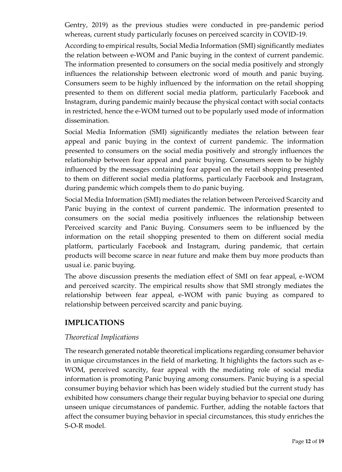Gentry, 2019) as the previous studies were conducted in pre-pandemic period whereas, current study particularly focuses on perceived scarcity in COVID-19.

According to empirical results, Social Media Information (SMI) significantly mediates the relation between e-WOM and Panic buying in the context of current pandemic. The information presented to consumers on the social media positively and strongly influences the relationship between electronic word of mouth and panic buying. Consumers seem to be highly influenced by the information on the retail shopping presented to them on different social media platform, particularly Facebook and Instagram, during pandemic mainly because the physical contact with social contacts in restricted, hence the e-WOM turned out to be popularly used mode of information dissemination.

Social Media Information (SMI) significantly mediates the relation between fear appeal and panic buying in the context of current pandemic. The information presented to consumers on the social media positively and strongly influences the relationship between fear appeal and panic buying. Consumers seem to be highly influenced by the messages containing fear appeal on the retail shopping presented to them on different social media platforms, particularly Facebook and Instagram, during pandemic which compels them to do panic buying.

Social Media Information (SMI) mediates the relation between Perceived Scarcity and Panic buying in the context of current pandemic. The information presented to consumers on the social media positively influences the relationship between Perceived scarcity and Panic Buying. Consumers seem to be influenced by the information on the retail shopping presented to them on different social media platform, particularly Facebook and Instagram, during pandemic, that certain products will become scarce in near future and make them buy more products than usual i.e. panic buying.

The above discussion presents the mediation effect of SMI on fear appeal, e-WOM and perceived scarcity. The empirical results show that SMI strongly mediates the relationship between fear appeal, e-WOM with panic buying as compared to relationship between perceived scarcity and panic buying.

#### **IMPLICATIONS**

#### *Theoretical Implications*

The research generated notable theoretical implications regarding consumer behavior in unique circumstances in the field of marketing. It highlights the factors such as e-WOM, perceived scarcity, fear appeal with the mediating role of social media information is promoting Panic buying among consumers. Panic buying is a special consumer buying behavior which has been widely studied but the current study has exhibited how consumers change their regular buying behavior to special one during unseen unique circumstances of pandemic. Further, adding the notable factors that affect the consumer buying behavior in special circumstances, this study enriches the S-O-R model.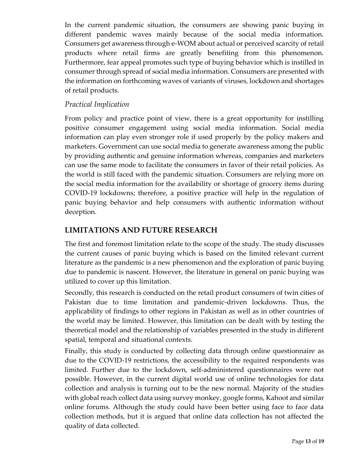In the current pandemic situation, the consumers are showing panic buying in different pandemic waves mainly because of the social media information. Consumers get awareness through e-WOM about actual or perceived scarcity of retail products where retail firms are greatly benefiting from this phenomenon. Furthermore, fear appeal promotes such type of buying behavior which is instilled in consumer through spread of social media information. Consumers are presented with the information on forthcoming waves of variants of viruses, lockdown and shortages of retail products.

#### *Practical Implication*

From policy and practice point of view, there is a great opportunity for instilling positive consumer engagement using social media information. Social media information can play even stronger role if used properly by the policy makers and marketers. Government can use social media to generate awareness among the public by providing authentic and genuine information whereas, companies and marketers can use the same mode to facilitate the consumers in favor of their retail policies. As the world is still faced with the pandemic situation. Consumers are relying more on the social media information for the availability or shortage of grocery items during COVID-19 lockdowns; therefore, a positive practice will help in the regulation of panic buying behavior and help consumers with authentic information without deception.

## **LIMITATIONS AND FUTURE RESEARCH**

The first and foremost limitation relate to the scope of the study. The study discusses the current causes of panic buying which is based on the limited relevant current literature as the pandemic is a new phenomenon and the exploration of panic buying due to pandemic is nascent. However, the literature in general on panic buying was utilized to cover up this limitation.

Secondly, this research is conducted on the retail product consumers of twin cities of Pakistan due to time limitation and pandemic-driven lockdowns. Thus, the applicability of findings to other regions in Pakistan as well as in other countries of the world may be limited. However, this limitation can be dealt with by testing the theoretical model and the relationship of variables presented in the study in different spatial, temporal and situational contexts.

Finally, this study is conducted by collecting data through online questionnaire as due to the COVID-19 restrictions, the accessibility to the required respondents was limited. Further due to the lockdown, self-administered questionnaires were not possible. However, in the current digital world use of online technologies for data collection and analysis is turning out to be the new normal. Majority of the studies with global reach collect data using survey monkey, google forms, Kahoot and similar online forums. Although the study could have been better using face to face data collection methods, but it is argued that online data collection has not affected the quality of data collected.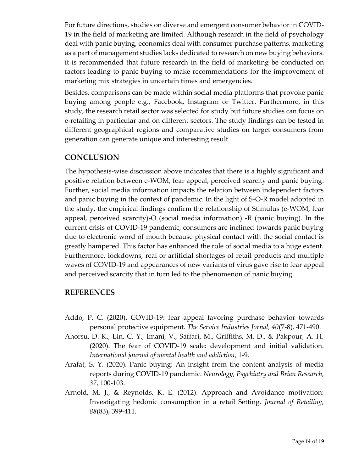For future directions, studies on diverse and emergent consumer behavior in COVID-19 in the field of marketing are limited. Although research in the field of psychology deal with panic buying, economics deal with consumer purchase patterns, marketing as a part of management studies lacks dedicated to research on new buying behaviors. it is recommended that future research in the field of marketing be conducted on factors leading to panic buying to make recommendations for the improvement of marketing mix strategies in uncertain times and emergencies.

Besides, comparisons can be made within social media platforms that provoke panic buying among people e.g., Facebook, Instagram or Twitter. Furthermore, in this study, the research retail sector was selected for study but future studies can focus on e-retailing in particular and on different sectors. The study findings can be tested in different geographical regions and comparative studies on target consumers from generation can generate unique and interesting result.

#### **CONCLUSION**

The hypothesis-wise discussion above indicates that there is a highly significant and positive relation between e-WOM, fear appeal, perceived scarcity and panic buying. Further, social media information impacts the relation between independent factors and panic buying in the context of pandemic. In the light of S-O-R model adopted in the study, the empirical findings confirm the relationship of Stimulus (e-WOM, fear appeal, perceived scarcity)-O (social media information) -R (panic buying). In the current crisis of COVID-19 pandemic, consumers are inclined towards panic buying due to electronic word of mouth because physical contact with the social contact is greatly hampered. This factor has enhanced the role of social media to a huge extent. Furthermore, lockdowns, real or artificial shortages of retail products and multiple waves of COVID-19 and appearances of new variants of virus gave rise to fear appeal and perceived scarcity that in turn led to the phenomenon of panic buying.

#### **REFERENCES**

- Addo, P. C. (2020). COVID-19: fear appeal favoring purchase behavior towards personal protective equipment. *The Service Industries Jornal, 40*(7-8), 471-490.
- Ahorsu, D. K., Lin, C. Y., Imani, V., Saffari, M., Griffiths, M. D., & Pakpour, A. H. (2020). The fear of COVID-19 scale: development and initial validation. *International journal of mental health and addiction*, 1-9.
- Arafat, S. Y. (2020). Panic buying: An insight from the content analysis of media reports during COVID-19 pandemic. *Neurology, Psychiatry and Brian Research, 37*, 100-103.
- Arnold, M. J., & Reynolds, K. E. (2012). Approach and Avoidance motivation: Investigating hedonic consumption in a retail Setting. *Journal of Retailing, 88*(83), 399-411.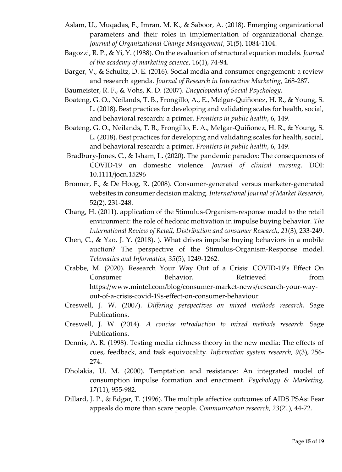- Aslam, U., Muqadas, F., Imran, M. K., & Saboor, A. (2018). Emerging organizational parameters and their roles in implementation of organizational change. *Journal of Organizational Change Management*, 31(5), 1084-1104.
- Bagozzi, R. P., & Yi, Y. (1988). On the evaluation of structural equation models. *Journal of the academy of marketing science*, 16(1), 74-94.
- Barger, V., & Schultz, D. E. (2016). Social media and consumer engagement: a review and research agenda. *Journal of Research in Interactive Marketing*, 268-287.
- Baumeister, R. F., & Vohs, K. D. (2007). *Encyclopedia of Social Psychology.*
- Boateng, G. O., Neilands, T. B., Frongillo, A., E., Melgar-Quiñonez, H. R., & Young, S. L. (2018). Best practices for developing and validating scales for health, social, and behavioral research: a primer. *Frontiers in public health*, 6, 149.
- Boateng, G. O., Neilands, T. B., Frongillo, E. A., Melgar-Quiñonez, H. R., & Young, S. L. (2018). Best practices for developing and validating scales for health, social, and behavioral research: a primer. *Frontiers in public health*, 6, 149.
- Bradbury-Jones, C., & Isham, L. (2020). The pandemic paradox: The consequences of COVID‐19 on domestic violence. *Journal of clinical nursing*. DOI: 10.1111/jocn.15296
- Bronner, F., & De Hoog, R. (2008). Consumer-generated versus marketer-generated websites in consumer decision making. *International Journal of Market Research*, 52(2), 231-248.
- Chang, H. (2011). application of the Stimulus-Organism-response model to the retail environment: the role of hedonic motivation in impulse buying behavior. *The International Review of Retail, Distribution and consumer Research, 21*(3), 233-249.
- Chen, C., & Yao, J. Y. (2018). ). What drives impulse buying behaviors in a mobile auction? The perspective of the Stimulus-Organism-Response model. *Telematics and Informatics, 35*(5), 1249-1262.
- Crabbe, M. (2020). Research Your Way Out of a Crisis: COVID-19's Effect On Consumer Behavior. Retrieved from https://www.mintel.com/blog/consumer-market-news/research-your-wayout-of-a-crisis-covid-19s-effect-on-consumer-behaviour
- Creswell, J. W. (2007). *Differing perspectives on mixed methods research.* Sage Publications.
- Creswell, J. W. (2014). *A concise introduction to mixed methods research.* Sage Publications.
- Dennis, A. R. (1998). Testing media richness theory in the new media: The effects of cues, feedback, and task equivocality. *Information system research, 9*(3), 256- 274.
- Dholakia, U. M. (2000). Temptation and resistance: An integrated model of consumption impulse formation and enactment. *Psychology & Marketing, 17*(11), 955-982.
- Dillard, J. P., & Edgar, T. (1996). The multiple affective outcomes of AIDS PSAs: Fear appeals do more than scare people. *Communication research, 23*(21), 44-72.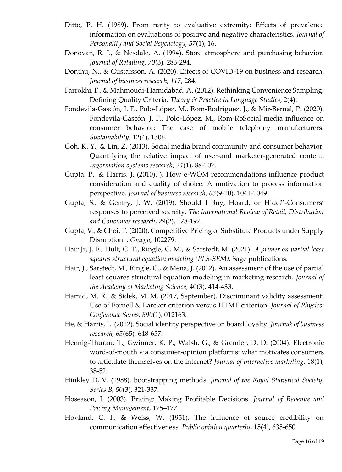- Ditto, P. H. (1989). From rarity to evaluative extremity: Effects of prevalence information on evaluations of positive and negative characteristics. *Journal of Personality and Social Psychology, 57*(1), 16.
- Donovan, R. J., & Nesdale, A. (1994). Store atmosphere and purchasing behavior. *Journal of Retailing, 70*(3), 283-294.
- Donthu, N., & Gustafsson, A. (2020). Effects of COVID-19 on business and research. *Journal of business research, 117*, 284.
- Farrokhi, F., & Mahmoudi-Hamidabad, A. (2012). Rethinking Convenience Sampling: Defining Quality Criteria. *Theory & Practice in Language Studies*, 2(4).
- Fondevila-Gascón, J. F., Polo-López, M., Rom-Rodríguez, J., & Mir-Bernal, P. (2020). Fondevila-Gascón, J. F., Polo-López, M., Rom-RoSocial media influence on consumer behavior: The case of mobile telephony manufacturers. *Sustainability*, 12(4), 1506.
- Goh, K. Y., & Lin, Z. (2013). Social media brand community and consumer behavior: Quantifying the relative impact of user-and marketer-generated content. *Ingormation systems research, 24*(1), 88-107.
- Gupta, P., & Harris, J. (2010). ). How e-WOM recommendations influence product consideration and quality of choice: A motivation to process information perspective. *Journal of business research, 63*(9-10), 1041-1049.
- Gupta, S., & Gentry, J. W. (2019). Should I Buy, Hoard, or Hide?'-Consumers' responses to perceived scarcity. *The international Review of Retail, Distribution and Consumer research*, 29(2), 178-197.
- Gupta, V., & Choi, T. (2020). Competitive Pricing of Substitute Products under Supply Disruption. . *Omega*, 102279.
- Hair Jr, J. F., Hult, G. T., Ringle, C. M., & Sarstedt, M. (2021). *A primer on partial least squares structural equation modeling (PLS-SEM).* Sage publications.
- Hair, J., Sarstedt, M., Ringle, C., & Mena, J. (2012). An assessment of the use of partial least squares structural equation modeling in marketing research. *Journal of the Academy of Marketing Science*, 40(3), 414-433.
- Hamid, M. R., & Sidek, M. M. (2017, September). Discriminant validity assessment: Use of Fornell & Larcker criterion versus HTMT criterion. *Journal of Physics: Conference Series, 890*(1), 012163.
- He, & Harris, L. (2012). Social identity perspective on board loyalty. *Journak of business research, 65*(65), 648-657.
- Hennig-Thurau, T., Gwinner, K. P., Walsh, G., & Gremler, D. D. (2004). Electronic word-of-mouth via consumer-opinion platforms: what motivates consumers to articulate themselves on the internet? *Journal of interactive marketing*, 18(1), 38-52.
- Hinkley D, V. (1988). bootstrapping methods. *Journal of the Royal Statistical Society, Series B, 50*(3), 321-337.
- Hoseason, J. (2003). Pricing: Making Profitable Decisions. *Journal of Revenue and Pricing Management*, 175–177.
- Hovland, C. I., & Weiss, W. (1951). The influence of source credibility on communication effectiveness. *Public opinion quarterly*, 15(4), 635-650.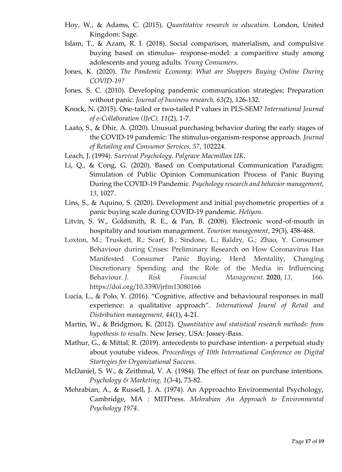- Hoy, W., & Adams, C. (2015). *Quantitative research in education.* London, United Kingdom: Sage.
- Islam, T., & Azam, R. I. (2018). Social comparison, materialism, and compulsive buying based on stimulus- response-model: a comparitive study among adolescents and young adults. *Young Consumers*.
- Jones, K. (2020). *The Pandemic Economy: What are Shoppers Buying Online During COVID-19?*
- Jones, S. C. (2010). Developing pandemic communication strategies; Preparation without panic. *Journal of business research, 63*(2), 126-132.
- Knock, N. (2015). One-tailed or two-tailed P values in PLS-SEM? *International Journal of e-Collaboration (IJeC), 11*(2), 1-7.
- Laato, S., & Dhir, A. (2020). Unusual purchasing behavior during the early stages of the COVID-19 pandemic: The stimulus-organism-response approach. *Journal of Retailing and Consumer Services, 57*, 102224.
- Leach, J. (1994). *Survival Psychology. Palgrave Macmillan UK*.
- Li, Q., & Cong, G. (2020). Based on Computational Communication Paradigm: Simulation of Public Opinion Communication Process of Panic Buying During the COVID-19 Pandemic. *Psychology research and behavior management, 13*, 1027.
- Lins, S., & Aquino, S. (2020). Development and initial psychometric properties of a panic buying scale during COVID-19 pandemic. *Heliyon*.
- Litvin, S. W., Goldsmith, R. E., & Pan, B. (2008). Electronic word-of-mouth in hospitality and tourism management. *Tourism management*, 29(3), 458-468.
- Loxton, M.; Truskett, R.; Scarf, B.; Sindone, L.; Baldry, G.; Zhao, Y. Consumer Behaviour during Crises: Preliminary Research on How Coronavirus Has Manifested Consumer Panic Buying, Herd Mentality, Changing Discretionary Spending and the Role of the Media in Influencing Behaviour. *J. Risk Financial Management.* **2020**, *13*, 166. https://doi.org/10.3390/jrfm13080166
- Lucia, L., & Polo, Y. (2016). "Cognitive, affective and behavioural responses in mall experience: a qualitative approach". *International Journl of Retail and Distribution management, 44*(1), 4-21.
- Martin, W., & Bridgmon, K. (2012). *Quantitative and statistical research methods: from hypothesis to results.* New Jersey, USA: Jossey-Bass.
- Mathur, G., & Mittal, R. (2019). antecedents to purchase intention- a perpetual study about youtube videos. *Proceedings of 10th International Conference on Digital Startegies for Organizational Success*.
- McDaniel, S. W., & Zeithmal, V. A. (1984). The effect of fear on purchase intentions. *Psychology & Marketing, 1*(3-4), 73-82.
- Mehrabian, A., & Russell, J. A. (1974). An Approachto Environmental Psychology, Cambridge, MA : MITPress. *Mehrabian An Approach to Environmental Psychology 1974*.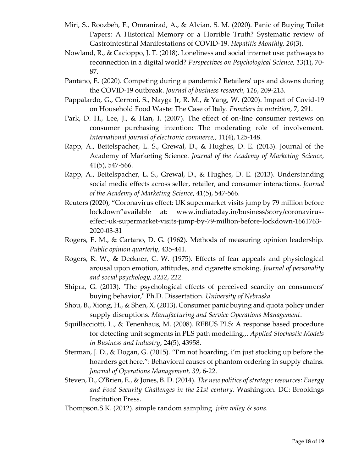- Miri, S., Roozbeh, F., Omranirad, A., & Alvian, S. M. (2020). Panic of Buying Toilet Papers: A Historical Memory or a Horrible Truth? Systematic review of Gastrointestinal Manifestations of COVID-19. *Hepatitis Monthly, 20*(3).
- Nowland, R., & Cacioppo, J. T. (2018). Loneliness and social internet use: pathways to reconnection in a digital world? *Perspectives on Psychological Science, 13*(1), 70- 87.
- Pantano, E. (2020). Competing during a pandemic? Retailers' ups and downs during the COVID-19 outbreak. *Journal of business research, 116*, 209-213.
- Pappalardo, G., Cerroni, S., Nayga Jr, R. M., & Yang, W. (2020). Impact of Covid-19 on Household Food Waste: The Case of Italy. *Frontiers in nutrition*, 7, 291.
- Park, D. H., Lee, J., & Han, I. (2007). The effect of on-line consumer reviews on consumer purchasing intention: The moderating role of involvement. *International journal of electronic commerce,*, 11(4), 125-148.
- Rapp, A., Beitelspacher, L. S., Grewal, D., & Hughes, D. E. (2013). Journal of the Academy of Marketing Science. *Journal of the Academy of Marketing Science*, 41(5), 547-566.
- Rapp, A., Beitelspacher, L. S., Grewal, D., & Hughes, D. E. (2013). Understanding social media effects across seller, retailer, and consumer interactions. *Journal of the Academy of Marketing Science*, 41(5), 547-566.
- Reuters (2020), "Coronavirus effect: UK supermarket visits jump by 79 million before lockdown"available at: www.indiatoday.in/business/story/coronaviruseffect-uk-supermarket-visits-jump-by-79-million-before-lockdown-1661763- 2020-03-31
- Rogers, E. M., & Cartano, D. G. (1962). Methods of measuring opinion leadership. *Public opinion quarterly*, 435-441.
- Rogers, R. W., & Deckner, C. W. (1975). Effects of fear appeals and physiological arousal upon emotion, attitudes, and cigarette smoking. *Journal of personality and social psychology, 3232*, 222.
- Shipra, G. (2013). 'The psychological effects of perceived scarcity on consumers' buying behavior," Ph.D. Dissertation. *University of Nebraska.*
- Shou, B., Xiong, H., & Shen, X. (2013). Consumer panic buying and quota policy under supply disruptions. *Manufacturing and Service Operations Management*.
- Squillacciotti, L., & Tenenhaus, M. (2008). REBUS PLS: A response based procedure for detecting unit segments in PLS path modelling.,. *Applied Stochastic Models in Business and Industry*, 24(5), 43958.
- Sterman, J. D., & Dogan, G. (2015). "I'm not hoarding, i'm just stocking up before the hoarders get here.": Behavioral causes of phantom ordering in supply chains. *Journal of Operations Management, 39*, 6-22.
- Steven, D., O'Brien, E., & Jones, B. D. (2014). *The new politics of strategic resources: Energy and Food Security Challenges in the 21st century.* Washington. DC: Brookings Institution Press.
- Thompson.S.K. (2012). simple random sampling. *john wiley & sons*.